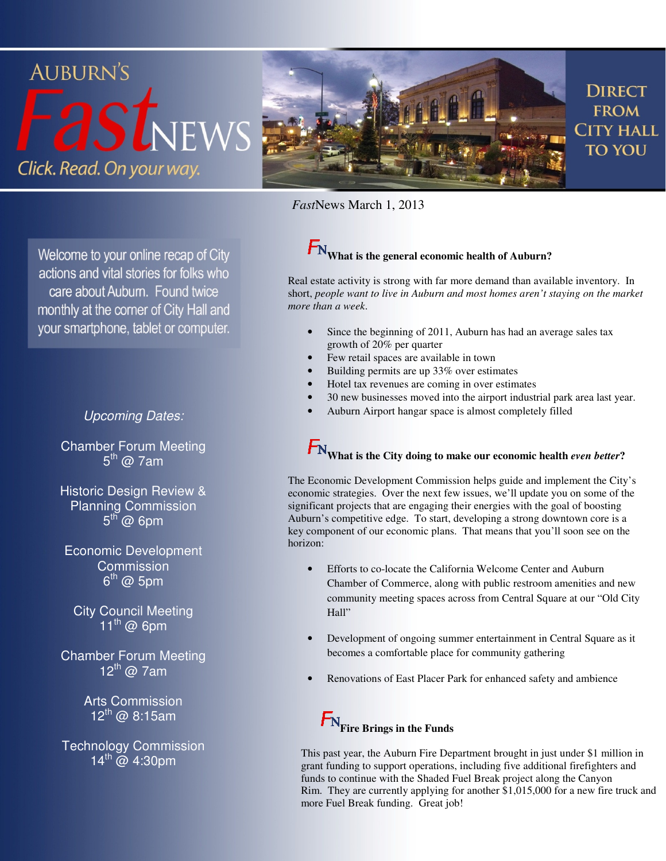

*Fast*News March 1, 2013

Welcome to your online recap of City actions and vital stories for folks who care about Auburn. Found twice monthly at the corner of City Hall and your smartphone, tablet or computer.

#### Upcoming Dates:

Chamber Forum Meeting 5<sup>th</sup> @ 7am

Historic Design Review & Planning Commission  $5^{\text{th}}$  @ 6pm

Economic Development **Commission** 6<sup>th</sup> @ 5pm

City Council Meeting  $11^{\text{th}}$  @ 6pm

Chamber Forum Meeting  $12^{\text{th}}$  @ 7am

> Arts Commission  $12^{th}$  @ 8:15am

Technology Commission  $14^{th}$  @ 4:30pm

# **What is the general economic health of Auburn?**

Real estate activity is strong with far more demand than available inventory. In short, *people want to live in Auburn and most homes aren't staying on the market more than a week*.

- Since the beginning of 2011, Auburn has had an average sales tax growth of 20% per quarter
- Few retail spaces are available in town
- Building permits are up 33% over estimates
- Hotel tax revenues are coming in over estimates
- 30 new businesses moved into the airport industrial park area last year.
- Auburn Airport hangar space is almost completely filled

# $F_{\text{N}}$  what is the City doing to make our economic health *even better*?

The Economic Development Commission helps guide and implement the City's economic strategies. Over the next few issues, we'll update you on some of the significant projects that are engaging their energies with the goal of boosting Auburn's competitive edge. To start, developing a strong downtown core is a key component of our economic plans. That means that you'll soon see on the horizon:

- Efforts to co-locate the California Welcome Center and Auburn Chamber of Commerce, along with public restroom amenities and new community meeting spaces across from Central Square at our "Old City Hall"
- Development of ongoing summer entertainment in Central Square as it becomes a comfortable place for community gathering
- Renovations of East Placer Park for enhanced safety and ambience



This past year, the Auburn Fire Department brought in just under \$1 million in grant funding to support operations, including five additional firefighters and funds to continue with the Shaded Fuel Break project along the Canyon Rim. They are currently applying for another \$1,015,000 for a new fire truck and more Fuel Break funding. Great job!